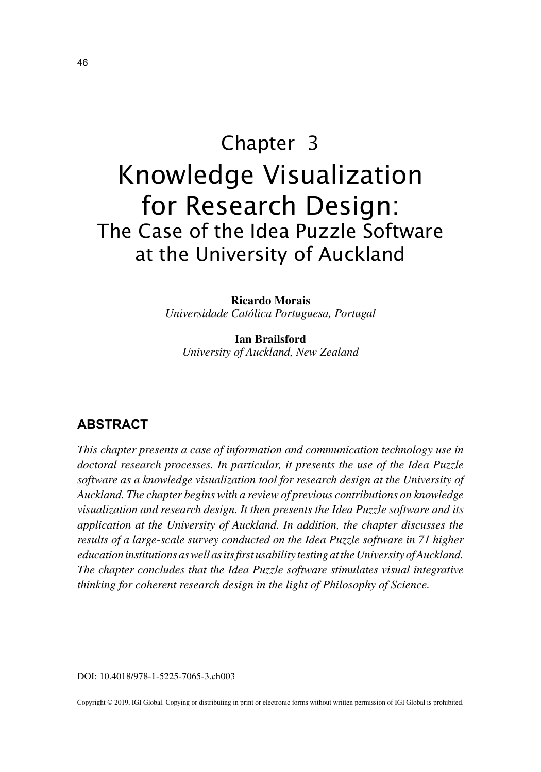# Chapter 3 Knowledge Visualization for Research Design: The Case of the Idea Puzzle Software at the University of Auckland

**Ricardo Morais** *Universidade Católica Portuguesa, Portugal*

**Ian Brailsford** *University of Auckland, New Zealand*

## **ABSTRACT**

*This chapter presents a case of information and communication technology use in doctoral research processes. In particular, it presents the use of the Idea Puzzle software as a knowledge visualization tool for research design at the University of Auckland. The chapter begins with a review of previous contributions on knowledge visualization and research design. It then presents the Idea Puzzle software and its application at the University of Auckland. In addition, the chapter discusses the results of a large-scale survey conducted on the Idea Puzzle software in 71 higher education institutions as well as its first usability testing at the University of Auckland. The chapter concludes that the Idea Puzzle software stimulates visual integrative thinking for coherent research design in the light of Philosophy of Science.*

DOI: 10.4018/978-1-5225-7065-3.ch003

Copyright © 2019, IGI Global. Copying or distributing in print or electronic forms without written permission of IGI Global is prohibited.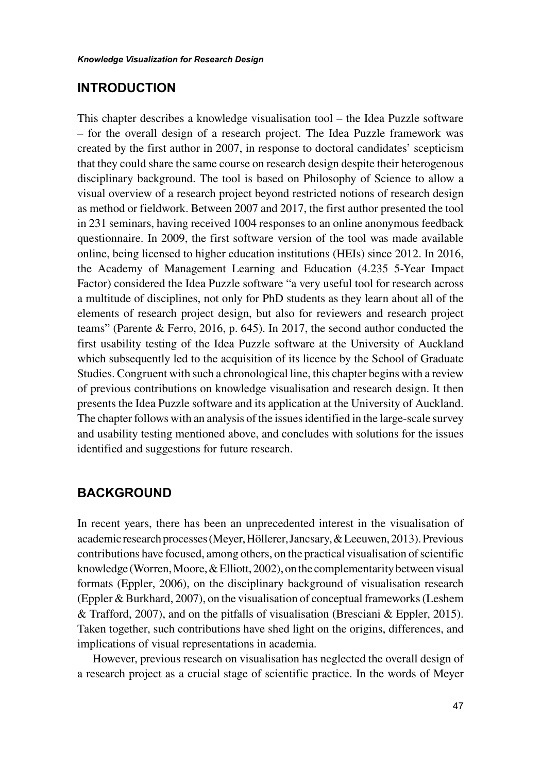#### **INTRODUCTION**

This chapter describes a knowledge visualisation tool – the Idea Puzzle software – for the overall design of a research project. The Idea Puzzle framework was created by the first author in 2007, in response to doctoral candidates' scepticism that they could share the same course on research design despite their heterogenous disciplinary background. The tool is based on Philosophy of Science to allow a visual overview of a research project beyond restricted notions of research design as method or fieldwork. Between 2007 and 2017, the first author presented the tool in 231 seminars, having received 1004 responses to an online anonymous feedback questionnaire. In 2009, the first software version of the tool was made available online, being licensed to higher education institutions (HEIs) since 2012. In 2016, the Academy of Management Learning and Education (4.235 5-Year Impact Factor) considered the Idea Puzzle software "a very useful tool for research across a multitude of disciplines, not only for PhD students as they learn about all of the elements of research project design, but also for reviewers and research project teams" (Parente & Ferro, 2016, p. 645). In 2017, the second author conducted the first usability testing of the Idea Puzzle software at the University of Auckland which subsequently led to the acquisition of its licence by the School of Graduate Studies. Congruent with such a chronological line, this chapter begins with a review of previous contributions on knowledge visualisation and research design. It then presents the Idea Puzzle software and its application at the University of Auckland. The chapter follows with an analysis of the issues identified in the large-scale survey and usability testing mentioned above, and concludes with solutions for the issues identified and suggestions for future research.

#### **BACKGROUND**

In recent years, there has been an unprecedented interest in the visualisation of academic research processes (Meyer, Höllerer, Jancsary, & Leeuwen, 2013). Previous contributions have focused, among others, on the practical visualisation of scientific knowledge (Worren, Moore, & Elliott, 2002), on the complementarity between visual formats (Eppler, 2006), on the disciplinary background of visualisation research (Eppler & Burkhard, 2007), on the visualisation of conceptual frameworks (Leshem & Trafford, 2007), and on the pitfalls of visualisation (Bresciani & Eppler, 2015). Taken together, such contributions have shed light on the origins, differences, and implications of visual representations in academia.

However, previous research on visualisation has neglected the overall design of a research project as a crucial stage of scientific practice. In the words of Meyer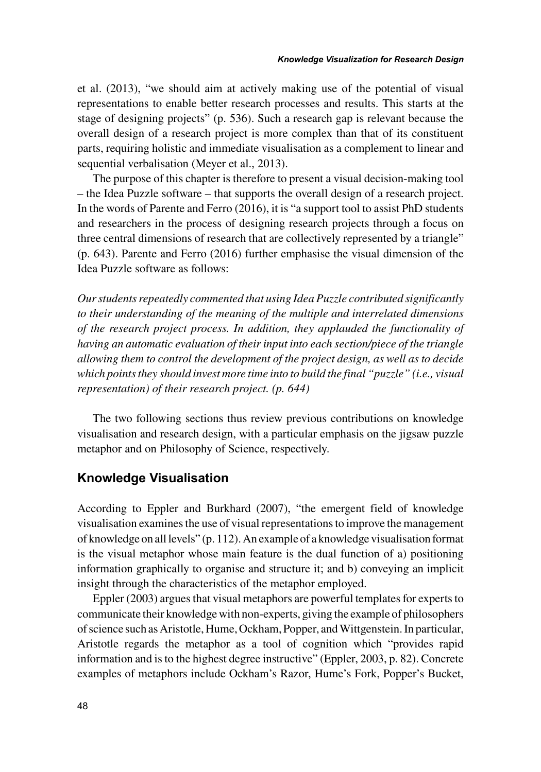et al. (2013), "we should aim at actively making use of the potential of visual representations to enable better research processes and results. This starts at the stage of designing projects" (p. 536). Such a research gap is relevant because the overall design of a research project is more complex than that of its constituent parts, requiring holistic and immediate visualisation as a complement to linear and sequential verbalisation (Meyer et al., 2013).

The purpose of this chapter is therefore to present a visual decision-making tool – the Idea Puzzle software – that supports the overall design of a research project. In the words of Parente and Ferro (2016), it is "a support tool to assist PhD students and researchers in the process of designing research projects through a focus on three central dimensions of research that are collectively represented by a triangle" (p. 643). Parente and Ferro (2016) further emphasise the visual dimension of the Idea Puzzle software as follows:

*Our students repeatedly commented that using Idea Puzzle contributed significantly to their understanding of the meaning of the multiple and interrelated dimensions of the research project process. In addition, they applauded the functionality of having an automatic evaluation of their input into each section/piece of the triangle allowing them to control the development of the project design, as well as to decide which points they should invest more time into to build the final "puzzle" (i.e., visual representation) of their research project. (p. 644)*

The two following sections thus review previous contributions on knowledge visualisation and research design, with a particular emphasis on the jigsaw puzzle metaphor and on Philosophy of Science, respectively.

#### **Knowledge Visualisation**

According to Eppler and Burkhard (2007), "the emergent field of knowledge visualisation examines the use of visual representations to improve the management of knowledge on all levels" (p. 112). An example of a knowledge visualisation format is the visual metaphor whose main feature is the dual function of a) positioning information graphically to organise and structure it; and b) conveying an implicit insight through the characteristics of the metaphor employed.

Eppler (2003) argues that visual metaphors are powerful templates for experts to communicate their knowledge with non-experts, giving the example of philosophers of science such as Aristotle, Hume, Ockham, Popper, and Wittgenstein. In particular, Aristotle regards the metaphor as a tool of cognition which "provides rapid information and is to the highest degree instructive" (Eppler, 2003, p. 82). Concrete examples of metaphors include Ockham's Razor, Hume's Fork, Popper's Bucket,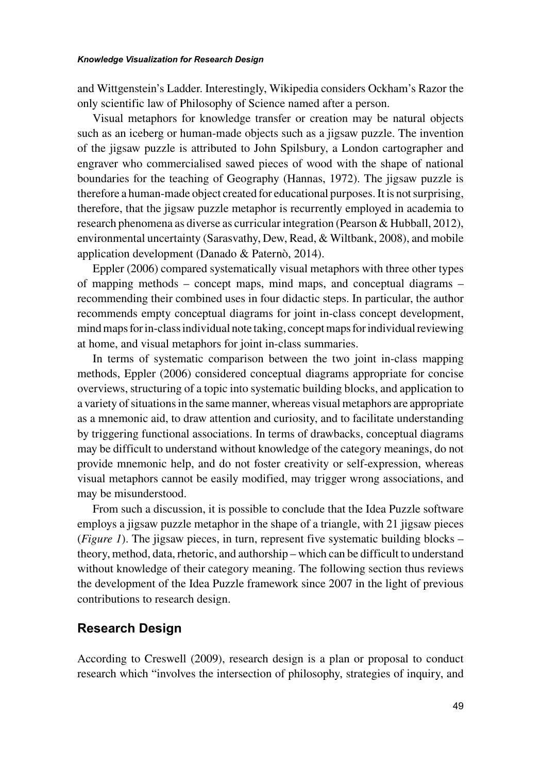and Wittgenstein's Ladder. Interestingly, Wikipedia considers Ockham's Razor the only scientific law of Philosophy of Science named after a person.

Visual metaphors for knowledge transfer or creation may be natural objects such as an iceberg or human-made objects such as a jigsaw puzzle. The invention of the jigsaw puzzle is attributed to John Spilsbury, a London cartographer and engraver who commercialised sawed pieces of wood with the shape of national boundaries for the teaching of Geography (Hannas, 1972). The jigsaw puzzle is therefore a human-made object created for educational purposes. It is not surprising, therefore, that the jigsaw puzzle metaphor is recurrently employed in academia to research phenomena as diverse as curricular integration (Pearson & Hubball, 2012), environmental uncertainty (Sarasvathy, Dew, Read, & Wiltbank, 2008), and mobile application development (Danado & Paternò, 2014).

Eppler (2006) compared systematically visual metaphors with three other types of mapping methods – concept maps, mind maps, and conceptual diagrams – recommending their combined uses in four didactic steps. In particular, the author recommends empty conceptual diagrams for joint in-class concept development, mind maps for in-class individual note taking, concept maps for individual reviewing at home, and visual metaphors for joint in-class summaries.

In terms of systematic comparison between the two joint in-class mapping methods, Eppler (2006) considered conceptual diagrams appropriate for concise overviews, structuring of a topic into systematic building blocks, and application to a variety of situations in the same manner, whereas visual metaphors are appropriate as a mnemonic aid, to draw attention and curiosity, and to facilitate understanding by triggering functional associations. In terms of drawbacks, conceptual diagrams may be difficult to understand without knowledge of the category meanings, do not provide mnemonic help, and do not foster creativity or self-expression, whereas visual metaphors cannot be easily modified, may trigger wrong associations, and may be misunderstood.

From such a discussion, it is possible to conclude that the Idea Puzzle software employs a jigsaw puzzle metaphor in the shape of a triangle, with 21 jigsaw pieces (*Figure 1*). The jigsaw pieces, in turn, represent five systematic building blocks – theory, method, data, rhetoric, and authorship – which can be difficult to understand without knowledge of their category meaning. The following section thus reviews the development of the Idea Puzzle framework since 2007 in the light of previous contributions to research design.

#### **Research Design**

According to Creswell (2009), research design is a plan or proposal to conduct research which "involves the intersection of philosophy, strategies of inquiry, and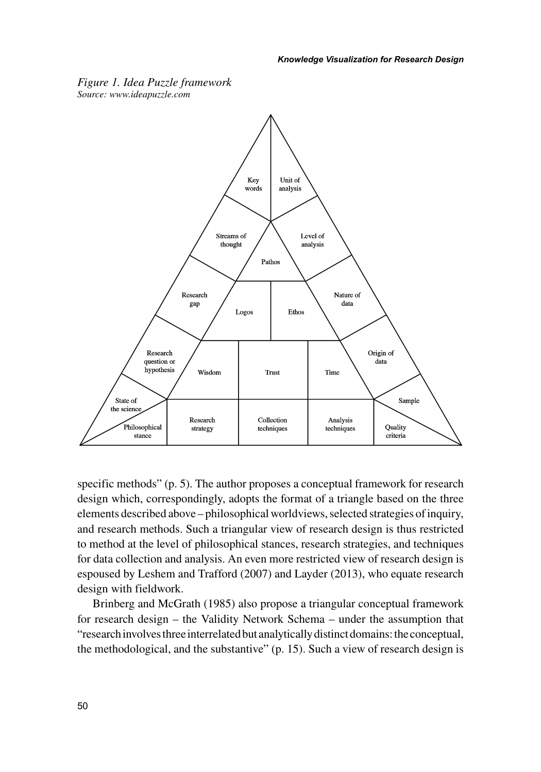

*Figure 1. Idea Puzzle framework Source: www.ideapuzzle.com*

specific methods" (p. 5). The author proposes a conceptual framework for research design which, correspondingly, adopts the format of a triangle based on the three elements described above – philosophical worldviews, selected strategies of inquiry, and research methods. Such a triangular view of research design is thus restricted to method at the level of philosophical stances, research strategies, and techniques for data collection and analysis. An even more restricted view of research design is espoused by Leshem and Trafford (2007) and Layder (2013), who equate research design with fieldwork.

Brinberg and McGrath (1985) also propose a triangular conceptual framework for research design – the Validity Network Schema – under the assumption that "research involves three interrelated but analytically distinct domains: the conceptual, the methodological, and the substantive" (p. 15). Such a view of research design is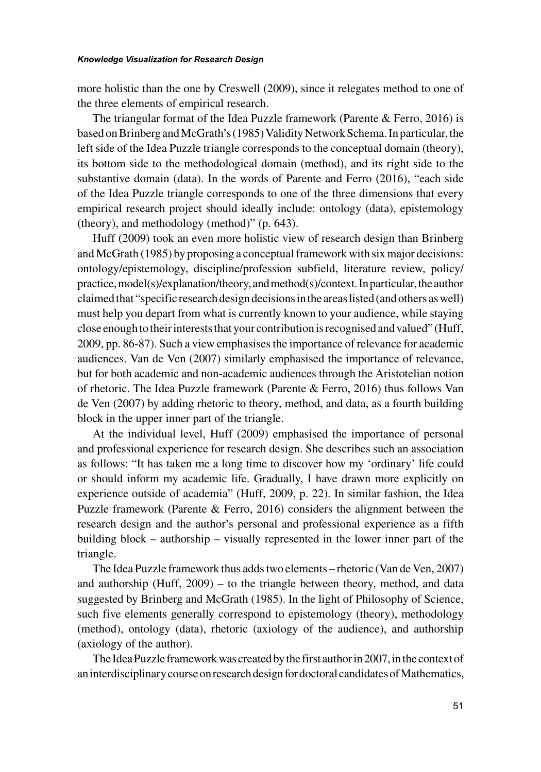more holistic than the one by Creswell (2009), since it relegates method to one of the three elements of empirical research.

The triangular format of the Idea Puzzle framework (Parente  $\&$  Ferro, 2016) is based on Brinberg and McGrath's (1985) Validity Network Schema. In particular, the left side of the Idea Puzzle triangle corresponds to the conceptual domain (theory), its bottom side to the methodological domain (method), and its right side to the substantive domain (data). In the words of Parente and Ferro (2016), "each side of the Idea Puzzle triangle corresponds to one of the three dimensions that every empirical research project should ideally include: ontology (data), epistemology (theory), and methodology (method)" (p. 643).

Huff (2009) took an even more holistic view of research design than Brinberg and McGrath (1985) by proposing a conceptual framework with six major decisions: ontology/epistemology, discipline/profession subfield, literature review, policy/ practice, model(s)/explanation/theory, and method(s)/context. In particular, the author claimed that "specific research design decisions in the areas listed (and others as well) must help you depart from what is currently known to your audience, while staying close enough to their interests that your contribution is recognised and valued" (Huff, 2009, pp. 86-87). Such a view emphasises the importance of relevance for academic audiences. Van de Ven (2007) similarly emphasised the importance of relevance, but for both academic and non-academic audiences through the Aristotelian notion of rhetoric. The Idea Puzzle framework (Parente & Ferro, 2016) thus follows Van de Ven (2007) by adding rhetoric to theory, method, and data, as a fourth building block in the upper inner part of the triangle.

At the individual level, Huff (2009) emphasised the importance of personal and professional experience for research design. She describes such an association as follows: "It has taken me a long time to discover how my 'ordinary' life could or should inform my academic life. Gradually, I have drawn more explicitly on experience outside of academia" (Huff, 2009, p. 22). In similar fashion, the Idea Puzzle framework (Parente & Ferro, 2016) considers the alignment between the research design and the author's personal and professional experience as a fifth building block – authorship – visually represented in the lower inner part of the triangle.

The Idea Puzzle framework thus adds two elements – rhetoric (Van de Ven, 2007) and authorship (Huff, 2009) – to the triangle between theory, method, and data suggested by Brinberg and McGrath (1985). In the light of Philosophy of Science, such five elements generally correspond to epistemology (theory), methodology (method), ontology (data), rhetoric (axiology of the audience), and authorship (axiology of the author).

The Idea Puzzle framework was created by the first author in 2007, in the context of an interdisciplinary course on research design for doctoral candidates of Mathematics,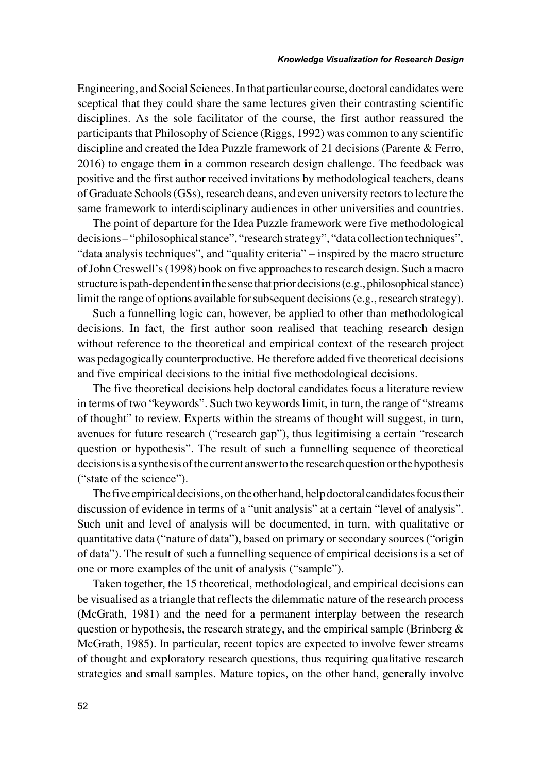Engineering, and Social Sciences. In that particular course, doctoral candidates were sceptical that they could share the same lectures given their contrasting scientific disciplines. As the sole facilitator of the course, the first author reassured the participants that Philosophy of Science (Riggs, 1992) was common to any scientific discipline and created the Idea Puzzle framework of 21 decisions (Parente & Ferro, 2016) to engage them in a common research design challenge. The feedback was positive and the first author received invitations by methodological teachers, deans of Graduate Schools (GSs), research deans, and even university rectors to lecture the same framework to interdisciplinary audiences in other universities and countries.

The point of departure for the Idea Puzzle framework were five methodological decisions – "philosophical stance", "research strategy", "data collection techniques", "data analysis techniques", and "quality criteria" – inspired by the macro structure of John Creswell's (1998) book on five approaches to research design. Such a macro structure is path-dependent in the sense that prior decisions (e.g., philosophical stance) limit the range of options available for subsequent decisions (e.g., research strategy).

Such a funnelling logic can, however, be applied to other than methodological decisions. In fact, the first author soon realised that teaching research design without reference to the theoretical and empirical context of the research project was pedagogically counterproductive. He therefore added five theoretical decisions and five empirical decisions to the initial five methodological decisions.

The five theoretical decisions help doctoral candidates focus a literature review in terms of two "keywords". Such two keywords limit, in turn, the range of "streams of thought" to review. Experts within the streams of thought will suggest, in turn, avenues for future research ("research gap"), thus legitimising a certain "research question or hypothesis". The result of such a funnelling sequence of theoretical decisions is a synthesis of the current answer to the research question or the hypothesis ("state of the science").

The five empirical decisions, on the other hand, help doctoral candidates focus their discussion of evidence in terms of a "unit analysis" at a certain "level of analysis". Such unit and level of analysis will be documented, in turn, with qualitative or quantitative data ("nature of data"), based on primary or secondary sources ("origin of data"). The result of such a funnelling sequence of empirical decisions is a set of one or more examples of the unit of analysis ("sample").

Taken together, the 15 theoretical, methodological, and empirical decisions can be visualised as a triangle that reflects the dilemmatic nature of the research process (McGrath, 1981) and the need for a permanent interplay between the research question or hypothesis, the research strategy, and the empirical sample (Brinberg  $\&$ McGrath, 1985). In particular, recent topics are expected to involve fewer streams of thought and exploratory research questions, thus requiring qualitative research strategies and small samples. Mature topics, on the other hand, generally involve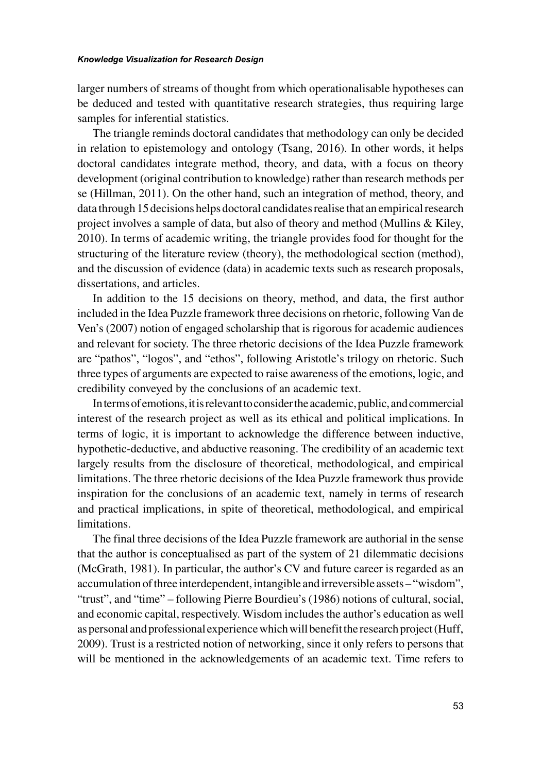#### *Knowledge Visualization for Research Design*

larger numbers of streams of thought from which operationalisable hypotheses can be deduced and tested with quantitative research strategies, thus requiring large samples for inferential statistics.

The triangle reminds doctoral candidates that methodology can only be decided in relation to epistemology and ontology (Tsang, 2016). In other words, it helps doctoral candidates integrate method, theory, and data, with a focus on theory development (original contribution to knowledge) rather than research methods per se (Hillman, 2011). On the other hand, such an integration of method, theory, and data through 15 decisions helps doctoral candidates realise that an empirical research project involves a sample of data, but also of theory and method (Mullins & Kiley, 2010). In terms of academic writing, the triangle provides food for thought for the structuring of the literature review (theory), the methodological section (method), and the discussion of evidence (data) in academic texts such as research proposals, dissertations, and articles.

In addition to the 15 decisions on theory, method, and data, the first author included in the Idea Puzzle framework three decisions on rhetoric, following Van de Ven's (2007) notion of engaged scholarship that is rigorous for academic audiences and relevant for society. The three rhetoric decisions of the Idea Puzzle framework are "pathos", "logos", and "ethos", following Aristotle's trilogy on rhetoric. Such three types of arguments are expected to raise awareness of the emotions, logic, and credibility conveyed by the conclusions of an academic text.

In terms of emotions, it is relevant to consider the academic, public, and commercial interest of the research project as well as its ethical and political implications. In terms of logic, it is important to acknowledge the difference between inductive, hypothetic-deductive, and abductive reasoning. The credibility of an academic text largely results from the disclosure of theoretical, methodological, and empirical limitations. The three rhetoric decisions of the Idea Puzzle framework thus provide inspiration for the conclusions of an academic text, namely in terms of research and practical implications, in spite of theoretical, methodological, and empirical limitations.

The final three decisions of the Idea Puzzle framework are authorial in the sense that the author is conceptualised as part of the system of 21 dilemmatic decisions (McGrath, 1981). In particular, the author's CV and future career is regarded as an accumulation of three interdependent, intangible and irreversible assets – "wisdom", "trust", and "time" – following Pierre Bourdieu's (1986) notions of cultural, social, and economic capital, respectively. Wisdom includes the author's education as well as personal and professional experience which will benefit the research project (Huff, 2009). Trust is a restricted notion of networking, since it only refers to persons that will be mentioned in the acknowledgements of an academic text. Time refers to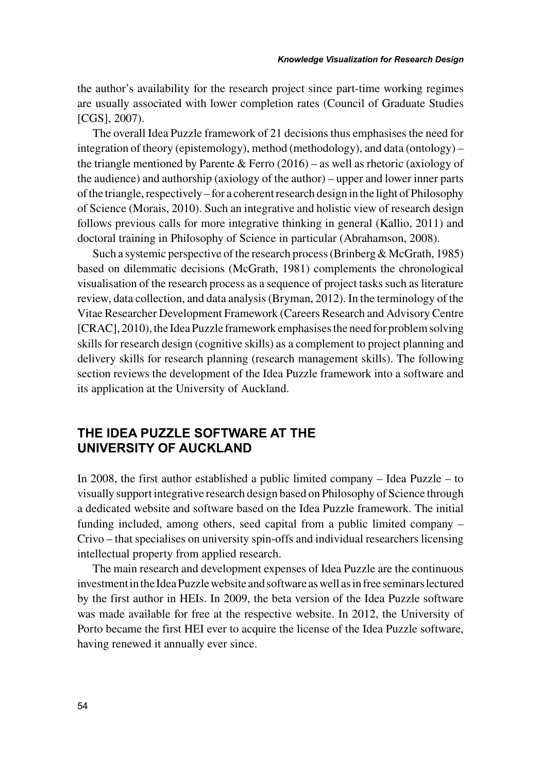the author's availability for the research project since part-time working regimes are usually associated with lower completion rates (Council of Graduate Studies [CGS], 2007).

The overall Idea Puzzle framework of 21 decisions thus emphasises the need for integration of theory (epistemology), method (methodology), and data (ontology) – the triangle mentioned by Parente & Ferro  $(2016)$  – as well as rhetoric (axiology of the audience) and authorship (axiology of the author) – upper and lower inner parts of the triangle, respectively – for a coherent research design in the light of Philosophy of Science (Morais, 2010). Such an integrative and holistic view of research design follows previous calls for more integrative thinking in general (Kallio, 2011) and doctoral training in Philosophy of Science in particular (Abrahamson, 2008).

Such a systemic perspective of the research process (Brinberg  $&$  McGrath, 1985) based on dilemmatic decisions (McGrath, 1981) complements the chronological visualisation of the research process as a sequence of project tasks such as literature review, data collection, and data analysis (Bryman, 2012). In the terminology of the Vitae Researcher Development Framework (Careers Research and Advisory Centre [CRAC], 2010), the Idea Puzzle framework emphasises the need for problem solving skills for research design (cognitive skills) as a complement to project planning and delivery skills for research planning (research management skills). The following section reviews the development of the Idea Puzzle framework into a software and its application at the University of Auckland.

## **THE IDEA PUZZLE SOFTWARE AT THE UNIVERSITY OF AUCKLAND**

In 2008, the first author established a public limited company – Idea Puzzle – to visually support integrative research design based on Philosophy of Science through a dedicated website and software based on the Idea Puzzle framework. The initial funding included, among others, seed capital from a public limited company – Crivo – that specialises on university spin-offs and individual researchers licensing intellectual property from applied research.

The main research and development expenses of Idea Puzzle are the continuous investment in the Idea Puzzle website and software as well as in free seminars lectured by the first author in HEIs. In 2009, the beta version of the Idea Puzzle software was made available for free at the respective website. In 2012, the University of Porto became the first HEI ever to acquire the license of the Idea Puzzle software, having renewed it annually ever since.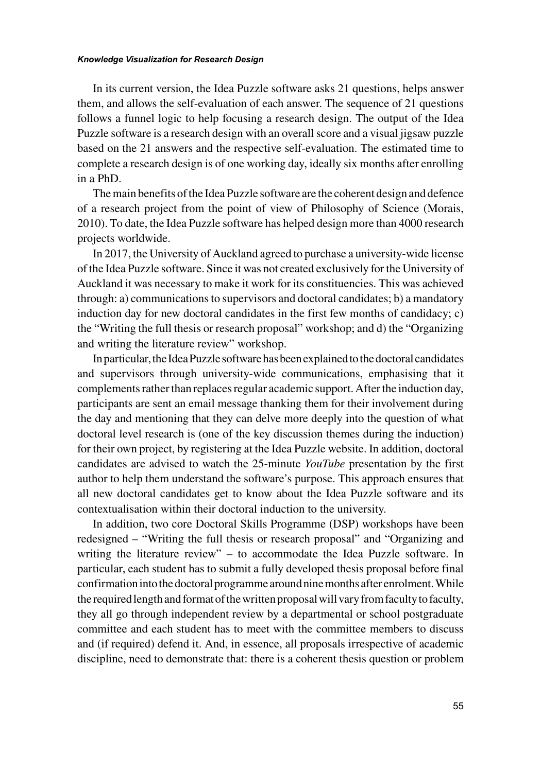#### *Knowledge Visualization for Research Design*

In its current version, the Idea Puzzle software asks 21 questions, helps answer them, and allows the self-evaluation of each answer. The sequence of 21 questions follows a funnel logic to help focusing a research design. The output of the Idea Puzzle software is a research design with an overall score and a visual jigsaw puzzle based on the 21 answers and the respective self-evaluation. The estimated time to complete a research design is of one working day, ideally six months after enrolling in a PhD.

The main benefits of the Idea Puzzle software are the coherent design and defence of a research project from the point of view of Philosophy of Science (Morais, 2010). To date, the Idea Puzzle software has helped design more than 4000 research projects worldwide.

In 2017, the University of Auckland agreed to purchase a university-wide license of the Idea Puzzle software. Since it was not created exclusively for the University of Auckland it was necessary to make it work for its constituencies. This was achieved through: a) communications to supervisors and doctoral candidates; b) a mandatory induction day for new doctoral candidates in the first few months of candidacy; c) the "Writing the full thesis or research proposal" workshop; and d) the "Organizing and writing the literature review" workshop.

In particular, the Idea Puzzle software has been explained to the doctoral candidates and supervisors through university-wide communications, emphasising that it complements rather than replaces regular academic support. After the induction day, participants are sent an email message thanking them for their involvement during the day and mentioning that they can delve more deeply into the question of what doctoral level research is (one of the key discussion themes during the induction) for their own project, by registering at the Idea Puzzle website. In addition, doctoral candidates are advised to watch the 25-minute *YouTube* presentation by the first author to help them understand the software's purpose. This approach ensures that all new doctoral candidates get to know about the Idea Puzzle software and its contextualisation within their doctoral induction to the university.

In addition, two core Doctoral Skills Programme (DSP) workshops have been redesigned – "Writing the full thesis or research proposal" and "Organizing and writing the literature review" – to accommodate the Idea Puzzle software. In particular, each student has to submit a fully developed thesis proposal before final confirmation into the doctoral programme around nine months after enrolment. While the required length and format of the written proposal will vary from faculty to faculty, they all go through independent review by a departmental or school postgraduate committee and each student has to meet with the committee members to discuss and (if required) defend it. And, in essence, all proposals irrespective of academic discipline, need to demonstrate that: there is a coherent thesis question or problem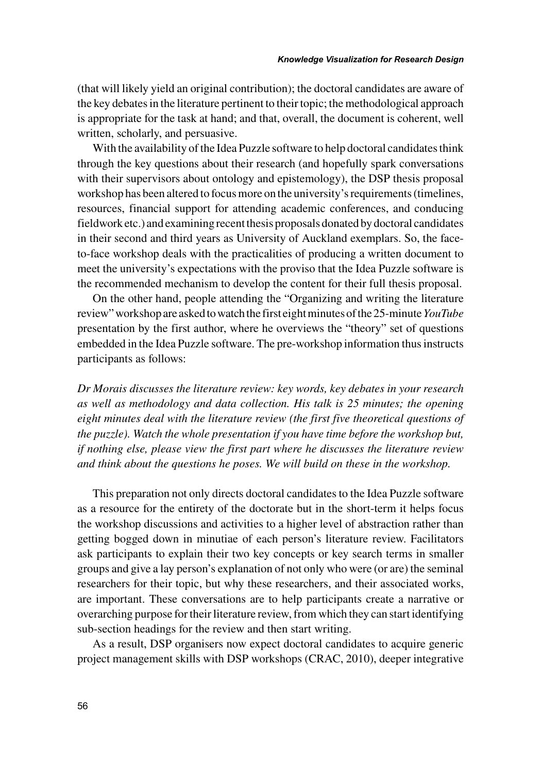(that will likely yield an original contribution); the doctoral candidates are aware of the key debates in the literature pertinent to their topic; the methodological approach is appropriate for the task at hand; and that, overall, the document is coherent, well written, scholarly, and persuasive.

With the availability of the Idea Puzzle software to help doctoral candidates think through the key questions about their research (and hopefully spark conversations with their supervisors about ontology and epistemology), the DSP thesis proposal workshop has been altered to focus more on the university's requirements (timelines, resources, financial support for attending academic conferences, and conducing fieldwork etc.) and examining recent thesis proposals donated by doctoral candidates in their second and third years as University of Auckland exemplars. So, the faceto-face workshop deals with the practicalities of producing a written document to meet the university's expectations with the proviso that the Idea Puzzle software is the recommended mechanism to develop the content for their full thesis proposal.

On the other hand, people attending the "Organizing and writing the literature review" workshop are asked to watch the first eight minutes of the 25-minute *YouTube* presentation by the first author, where he overviews the "theory" set of questions embedded in the Idea Puzzle software. The pre-workshop information thus instructs participants as follows:

*Dr Morais discusses the literature review: key words, key debates in your research as well as methodology and data collection. His talk is 25 minutes; the opening eight minutes deal with the literature review (the first five theoretical questions of the puzzle). Watch the whole presentation if you have time before the workshop but, if nothing else, please view the first part where he discusses the literature review and think about the questions he poses. We will build on these in the workshop.*

This preparation not only directs doctoral candidates to the Idea Puzzle software as a resource for the entirety of the doctorate but in the short-term it helps focus the workshop discussions and activities to a higher level of abstraction rather than getting bogged down in minutiae of each person's literature review. Facilitators ask participants to explain their two key concepts or key search terms in smaller groups and give a lay person's explanation of not only who were (or are) the seminal researchers for their topic, but why these researchers, and their associated works, are important. These conversations are to help participants create a narrative or overarching purpose for their literature review, from which they can start identifying sub-section headings for the review and then start writing.

As a result, DSP organisers now expect doctoral candidates to acquire generic project management skills with DSP workshops (CRAC, 2010), deeper integrative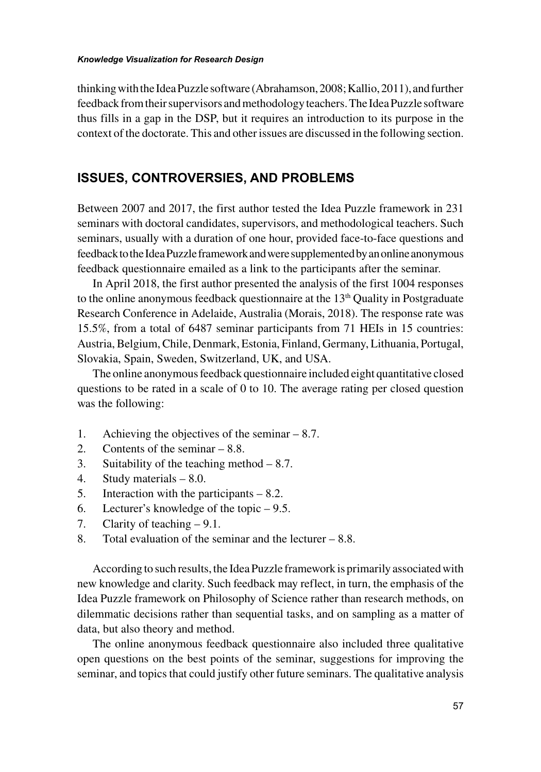thinking with the Idea Puzzle software (Abrahamson, 2008; Kallio, 2011), and further feedback from their supervisors and methodology teachers. The Idea Puzzle software thus fills in a gap in the DSP, but it requires an introduction to its purpose in the context of the doctorate. This and other issues are discussed in the following section.

#### **ISSUES, CONTROVERSIES, AND PROBLEMS**

Between 2007 and 2017, the first author tested the Idea Puzzle framework in 231 seminars with doctoral candidates, supervisors, and methodological teachers. Such seminars, usually with a duration of one hour, provided face-to-face questions and feedback to the Idea Puzzle framework and were supplemented by an online anonymous feedback questionnaire emailed as a link to the participants after the seminar.

In April 2018, the first author presented the analysis of the first 1004 responses to the online anonymous feedback questionnaire at the  $13<sup>th</sup>$  Quality in Postgraduate Research Conference in Adelaide, Australia (Morais, 2018). The response rate was 15.5%, from a total of 6487 seminar participants from 71 HEIs in 15 countries: Austria, Belgium, Chile, Denmark, Estonia, Finland, Germany, Lithuania, Portugal, Slovakia, Spain, Sweden, Switzerland, UK, and USA.

The online anonymous feedback questionnaire included eight quantitative closed questions to be rated in a scale of 0 to 10. The average rating per closed question was the following:

- 1. Achieving the objectives of the seminar 8.7.
- 2. Contents of the seminar 8.8.
- 3. Suitability of the teaching method  $-8.7$ .
- 4. Study materials 8.0.
- 5. Interaction with the participants 8.2.
- 6. Lecturer's knowledge of the topic 9.5.
- 7. Clarity of teaching 9.1.
- 8. Total evaluation of the seminar and the lecturer 8.8.

According to such results, the Idea Puzzle framework is primarily associated with new knowledge and clarity. Such feedback may reflect, in turn, the emphasis of the Idea Puzzle framework on Philosophy of Science rather than research methods, on dilemmatic decisions rather than sequential tasks, and on sampling as a matter of data, but also theory and method.

The online anonymous feedback questionnaire also included three qualitative open questions on the best points of the seminar, suggestions for improving the seminar, and topics that could justify other future seminars. The qualitative analysis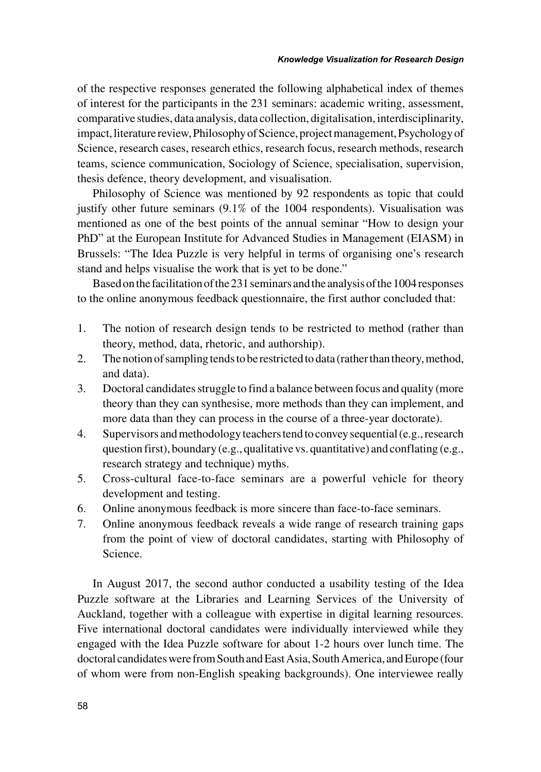of the respective responses generated the following alphabetical index of themes of interest for the participants in the 231 seminars: academic writing, assessment, comparative studies, data analysis, data collection, digitalisation, interdisciplinarity, impact, literature review, Philosophy of Science, project management, Psychology of Science, research cases, research ethics, research focus, research methods, research teams, science communication, Sociology of Science, specialisation, supervision, thesis defence, theory development, and visualisation.

Philosophy of Science was mentioned by 92 respondents as topic that could justify other future seminars (9.1% of the 1004 respondents). Visualisation was mentioned as one of the best points of the annual seminar "How to design your PhD" at the European Institute for Advanced Studies in Management (EIASM) in Brussels: "The Idea Puzzle is very helpful in terms of organising one's research stand and helps visualise the work that is yet to be done."

Based on the facilitation of the 231 seminars and the analysis of the 1004 responses to the online anonymous feedback questionnaire, the first author concluded that:

- 1. The notion of research design tends to be restricted to method (rather than theory, method, data, rhetoric, and authorship).
- 2. The notion of sampling tends to be restricted to data (rather than theory, method, and data).
- 3. Doctoral candidates struggle to find a balance between focus and quality (more theory than they can synthesise, more methods than they can implement, and more data than they can process in the course of a three-year doctorate).
- 4. Supervisors and methodology teachers tend to convey sequential (e.g., research question first), boundary (e.g., qualitative vs. quantitative) and conflating (e.g., research strategy and technique) myths.
- 5. Cross-cultural face-to-face seminars are a powerful vehicle for theory development and testing.
- 6. Online anonymous feedback is more sincere than face-to-face seminars.
- 7. Online anonymous feedback reveals a wide range of research training gaps from the point of view of doctoral candidates, starting with Philosophy of Science.

In August 2017, the second author conducted a usability testing of the Idea Puzzle software at the Libraries and Learning Services of the University of Auckland, together with a colleague with expertise in digital learning resources. Five international doctoral candidates were individually interviewed while they engaged with the Idea Puzzle software for about 1-2 hours over lunch time. The doctoral candidates were from South and East Asia, South America, and Europe (four of whom were from non-English speaking backgrounds). One interviewee really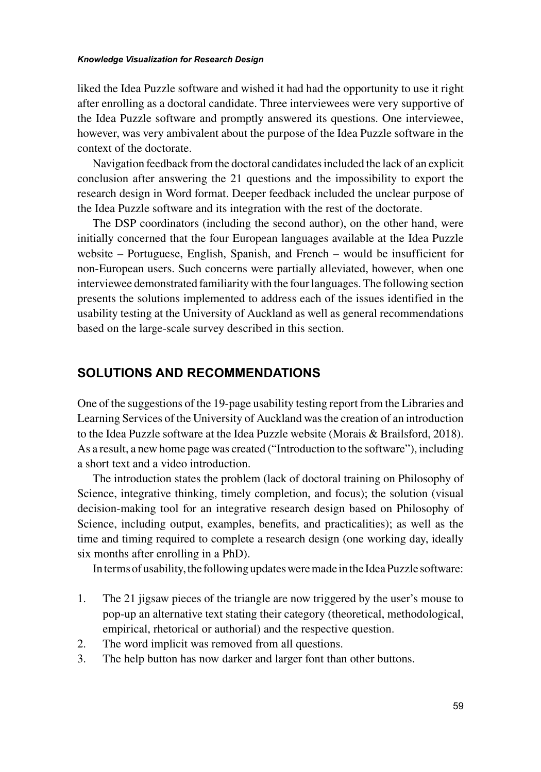#### *Knowledge Visualization for Research Design*

liked the Idea Puzzle software and wished it had had the opportunity to use it right after enrolling as a doctoral candidate. Three interviewees were very supportive of the Idea Puzzle software and promptly answered its questions. One interviewee, however, was very ambivalent about the purpose of the Idea Puzzle software in the context of the doctorate.

Navigation feedback from the doctoral candidates included the lack of an explicit conclusion after answering the 21 questions and the impossibility to export the research design in Word format. Deeper feedback included the unclear purpose of the Idea Puzzle software and its integration with the rest of the doctorate.

The DSP coordinators (including the second author), on the other hand, were initially concerned that the four European languages available at the Idea Puzzle website – Portuguese, English, Spanish, and French – would be insufficient for non-European users. Such concerns were partially alleviated, however, when one interviewee demonstrated familiarity with the four languages. The following section presents the solutions implemented to address each of the issues identified in the usability testing at the University of Auckland as well as general recommendations based on the large-scale survey described in this section.

#### **SOLUTIONS AND RECOMMENDATIONS**

One of the suggestions of the 19-page usability testing report from the Libraries and Learning Services of the University of Auckland was the creation of an introduction to the Idea Puzzle software at the Idea Puzzle website (Morais & Brailsford, 2018). As a result, a new home page was created ("Introduction to the software"), including a short text and a video introduction.

The introduction states the problem (lack of doctoral training on Philosophy of Science, integrative thinking, timely completion, and focus); the solution (visual decision-making tool for an integrative research design based on Philosophy of Science, including output, examples, benefits, and practicalities); as well as the time and timing required to complete a research design (one working day, ideally six months after enrolling in a PhD).

In terms of usability, the following updates were made in the Idea Puzzle software:

- 1. The 21 jigsaw pieces of the triangle are now triggered by the user's mouse to pop-up an alternative text stating their category (theoretical, methodological, empirical, rhetorical or authorial) and the respective question.
- 2. The word implicit was removed from all questions.
- 3. The help button has now darker and larger font than other buttons.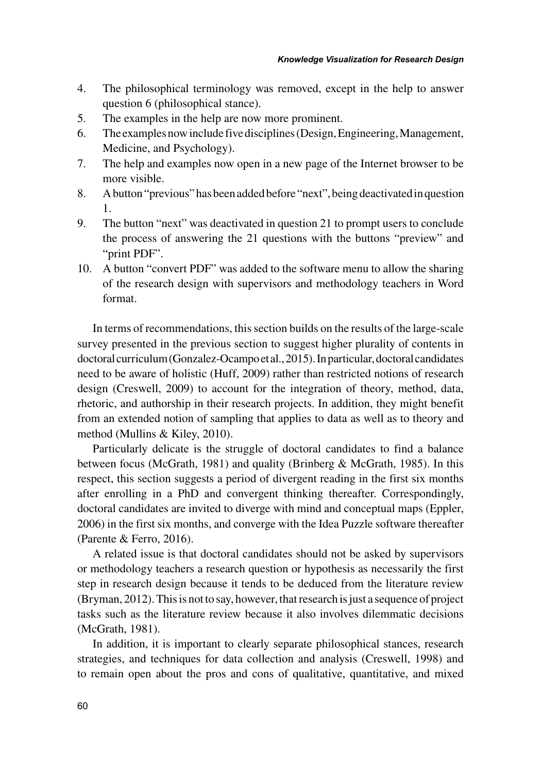- 4. The philosophical terminology was removed, except in the help to answer question 6 (philosophical stance).
- 5. The examples in the help are now more prominent.
- 6. The examples now include five disciplines (Design, Engineering, Management, Medicine, and Psychology).
- 7. The help and examples now open in a new page of the Internet browser to be more visible.
- 8. A button "previous" has been added before "next", being deactivated in question 1.
- 9. The button "next" was deactivated in question 21 to prompt users to conclude the process of answering the 21 questions with the buttons "preview" and "print PDF".
- 10. A button "convert PDF" was added to the software menu to allow the sharing of the research design with supervisors and methodology teachers in Word format.

In terms of recommendations, this section builds on the results of the large-scale survey presented in the previous section to suggest higher plurality of contents in doctoral curriculum (Gonzalez-Ocampo et al., 2015). In particular, doctoral candidates need to be aware of holistic (Huff, 2009) rather than restricted notions of research design (Creswell, 2009) to account for the integration of theory, method, data, rhetoric, and authorship in their research projects. In addition, they might benefit from an extended notion of sampling that applies to data as well as to theory and method (Mullins & Kiley, 2010).

Particularly delicate is the struggle of doctoral candidates to find a balance between focus (McGrath, 1981) and quality (Brinberg & McGrath, 1985). In this respect, this section suggests a period of divergent reading in the first six months after enrolling in a PhD and convergent thinking thereafter. Correspondingly, doctoral candidates are invited to diverge with mind and conceptual maps (Eppler, 2006) in the first six months, and converge with the Idea Puzzle software thereafter (Parente & Ferro, 2016).

A related issue is that doctoral candidates should not be asked by supervisors or methodology teachers a research question or hypothesis as necessarily the first step in research design because it tends to be deduced from the literature review (Bryman, 2012). This is not to say, however, that research is just a sequence of project tasks such as the literature review because it also involves dilemmatic decisions (McGrath, 1981).

In addition, it is important to clearly separate philosophical stances, research strategies, and techniques for data collection and analysis (Creswell, 1998) and to remain open about the pros and cons of qualitative, quantitative, and mixed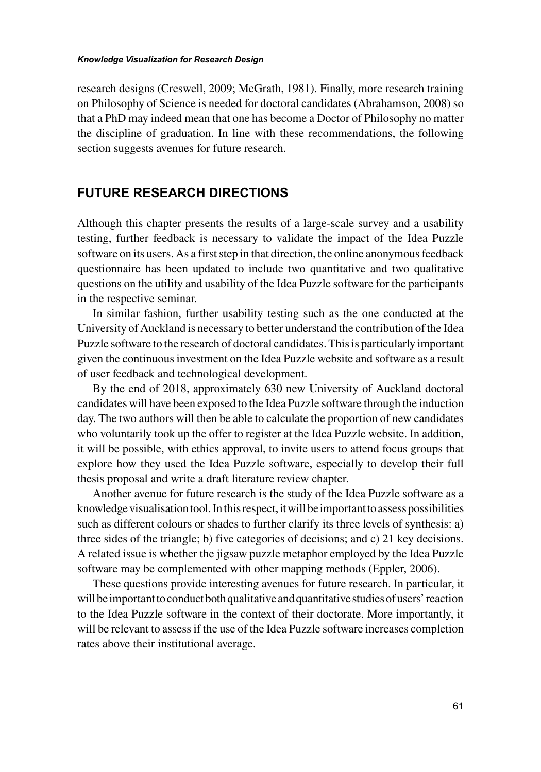research designs (Creswell, 2009; McGrath, 1981). Finally, more research training on Philosophy of Science is needed for doctoral candidates (Abrahamson, 2008) so that a PhD may indeed mean that one has become a Doctor of Philosophy no matter the discipline of graduation. In line with these recommendations, the following section suggests avenues for future research.

## **FUTURE RESEARCH DIRECTIONS**

Although this chapter presents the results of a large-scale survey and a usability testing, further feedback is necessary to validate the impact of the Idea Puzzle software on its users. As a first step in that direction, the online anonymous feedback questionnaire has been updated to include two quantitative and two qualitative questions on the utility and usability of the Idea Puzzle software for the participants in the respective seminar.

In similar fashion, further usability testing such as the one conducted at the University of Auckland is necessary to better understand the contribution of the Idea Puzzle software to the research of doctoral candidates. This is particularly important given the continuous investment on the Idea Puzzle website and software as a result of user feedback and technological development.

By the end of 2018, approximately 630 new University of Auckland doctoral candidates will have been exposed to the Idea Puzzle software through the induction day. The two authors will then be able to calculate the proportion of new candidates who voluntarily took up the offer to register at the Idea Puzzle website. In addition, it will be possible, with ethics approval, to invite users to attend focus groups that explore how they used the Idea Puzzle software, especially to develop their full thesis proposal and write a draft literature review chapter.

Another avenue for future research is the study of the Idea Puzzle software as a knowledge visualisation tool. In this respect, it will be important to assess possibilities such as different colours or shades to further clarify its three levels of synthesis: a) three sides of the triangle; b) five categories of decisions; and c) 21 key decisions. A related issue is whether the jigsaw puzzle metaphor employed by the Idea Puzzle software may be complemented with other mapping methods (Eppler, 2006).

These questions provide interesting avenues for future research. In particular, it will be important to conduct both qualitative and quantitative studies of users' reaction to the Idea Puzzle software in the context of their doctorate. More importantly, it will be relevant to assess if the use of the Idea Puzzle software increases completion rates above their institutional average.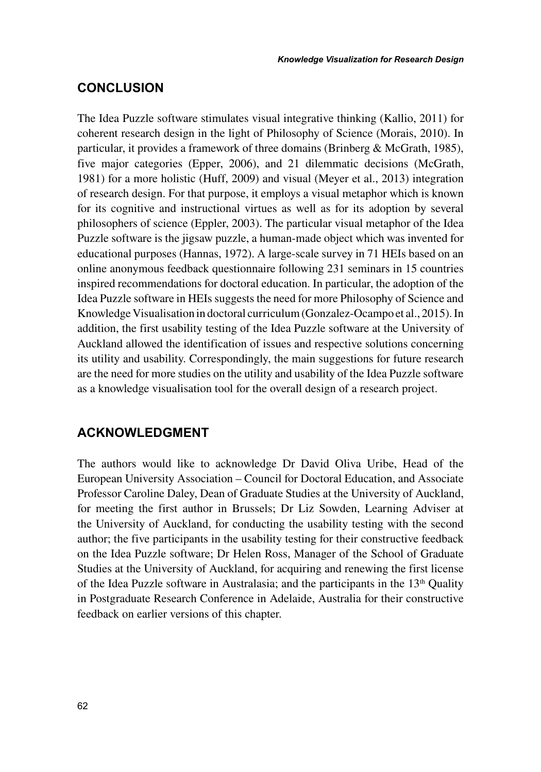## **CONCLUSION**

The Idea Puzzle software stimulates visual integrative thinking (Kallio, 2011) for coherent research design in the light of Philosophy of Science (Morais, 2010). In particular, it provides a framework of three domains (Brinberg & McGrath, 1985), five major categories (Epper, 2006), and 21 dilemmatic decisions (McGrath, 1981) for a more holistic (Huff, 2009) and visual (Meyer et al., 2013) integration of research design. For that purpose, it employs a visual metaphor which is known for its cognitive and instructional virtues as well as for its adoption by several philosophers of science (Eppler, 2003). The particular visual metaphor of the Idea Puzzle software is the jigsaw puzzle, a human-made object which was invented for educational purposes (Hannas, 1972). A large-scale survey in 71 HEIs based on an online anonymous feedback questionnaire following 231 seminars in 15 countries inspired recommendations for doctoral education. In particular, the adoption of the Idea Puzzle software in HEIs suggests the need for more Philosophy of Science and Knowledge Visualisation in doctoral curriculum (Gonzalez-Ocampo et al., 2015). In addition, the first usability testing of the Idea Puzzle software at the University of Auckland allowed the identification of issues and respective solutions concerning its utility and usability. Correspondingly, the main suggestions for future research are the need for more studies on the utility and usability of the Idea Puzzle software as a knowledge visualisation tool for the overall design of a research project.

## **ACKNOWLEDGMENT**

The authors would like to acknowledge Dr David Oliva Uribe, Head of the European University Association – Council for Doctoral Education, and Associate Professor Caroline Daley, Dean of Graduate Studies at the University of Auckland, for meeting the first author in Brussels; Dr Liz Sowden, Learning Adviser at the University of Auckland, for conducting the usability testing with the second author; the five participants in the usability testing for their constructive feedback on the Idea Puzzle software; Dr Helen Ross, Manager of the School of Graduate Studies at the University of Auckland, for acquiring and renewing the first license of the Idea Puzzle software in Australasia; and the participants in the  $13<sup>th</sup>$  Quality in Postgraduate Research Conference in Adelaide, Australia for their constructive feedback on earlier versions of this chapter.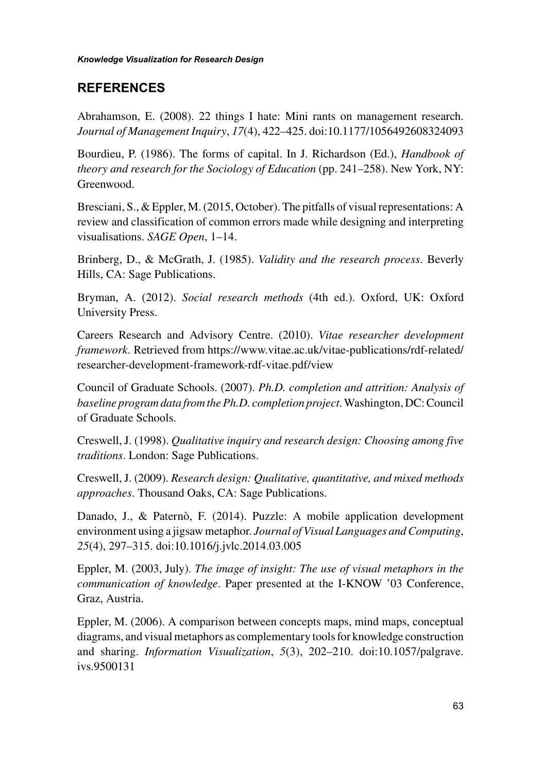## **REFERENCES**

Abrahamson, E. (2008). 22 things I hate: Mini rants on management research. *Journal of Management Inquiry*, *17*(4), 422–425. doi:10.1177/1056492608324093

Bourdieu, P. (1986). The forms of capital. In J. Richardson (Ed.), *Handbook of theory and research for the Sociology of Education* (pp. 241–258). New York, NY: Greenwood.

Bresciani, S., & Eppler, M. (2015, October). The pitfalls of visual representations: A review and classification of common errors made while designing and interpreting visualisations. *SAGE Open*, 1–14.

Brinberg, D., & McGrath, J. (1985). *Validity and the research process*. Beverly Hills, CA: Sage Publications.

Bryman, A. (2012). *Social research methods* (4th ed.). Oxford, UK: Oxford University Press.

Careers Research and Advisory Centre. (2010). *Vitae researcher development framework.* Retrieved from https://www.vitae.ac.uk/vitae-publications/rdf-related/ researcher-development-framework-rdf-vitae.pdf/view

Council of Graduate Schools. (2007). *Ph.D. completion and attrition: Analysis of baseline program data from the Ph.D. completion project*. Washington, DC: Council of Graduate Schools.

Creswell, J. (1998). *Qualitative inquiry and research design: Choosing among five traditions*. London: Sage Publications.

Creswell, J. (2009). *Research design: Qualitative, quantitative, and mixed methods approaches*. Thousand Oaks, CA: Sage Publications.

Danado, J., & Paternò, F. (2014). Puzzle: A mobile application development environment using a jigsaw metaphor. *Journal of Visual Languages and Computing*, *25*(4), 297–315. doi:10.1016/j.jvlc.2014.03.005

Eppler, M. (2003, July). *The image of insight: The use of visual metaphors in the communication of knowledge*. Paper presented at the I-KNOW '03 Conference, Graz, Austria.

Eppler, M. (2006). A comparison between concepts maps, mind maps, conceptual diagrams, and visual metaphors as complementary tools for knowledge construction and sharing. *Information Visualization*, *5*(3), 202–210. doi:10.1057/palgrave. ivs.9500131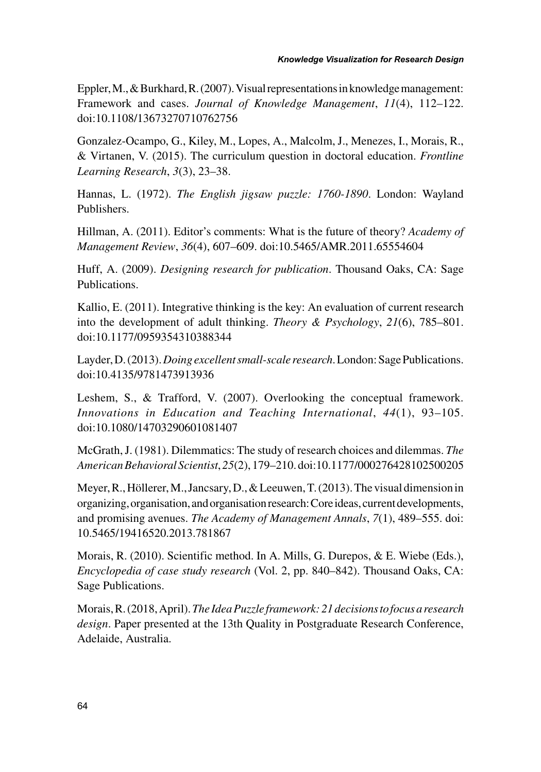Eppler, M., & Burkhard, R. (2007). Visual representations in knowledge management: Framework and cases. *Journal of Knowledge Management*, *11*(4), 112–122. doi:10.1108/13673270710762756

Gonzalez-Ocampo, G., Kiley, M., Lopes, A., Malcolm, J., Menezes, I., Morais, R., & Virtanen, V. (2015). The curriculum question in doctoral education. *Frontline Learning Research*, *3*(3), 23–38.

Hannas, L. (1972). *The English jigsaw puzzle: 1760-1890*. London: Wayland Publishers.

Hillman, A. (2011). Editor's comments: What is the future of theory? *Academy of Management Review*, *36*(4), 607–609. doi:10.5465/AMR.2011.65554604

Huff, A. (2009). *Designing research for publication*. Thousand Oaks, CA: Sage Publications.

Kallio, E. (2011). Integrative thinking is the key: An evaluation of current research into the development of adult thinking. *Theory & Psychology*, *21*(6), 785–801. doi:10.1177/0959354310388344

Layder, D. (2013). *Doing excellent small-scale research*. London: Sage Publications. doi:10.4135/9781473913936

Leshem, S., & Trafford, V. (2007). Overlooking the conceptual framework. *Innovations in Education and Teaching International*, *44*(1), 93–105. doi:10.1080/14703290601081407

McGrath, J. (1981). Dilemmatics: The study of research choices and dilemmas. *The American Behavioral Scientist*, *25*(2), 179–210. doi:10.1177/000276428102500205

Meyer, R., Höllerer, M., Jancsary, D., & Leeuwen, T. (2013). The visual dimension in organizing, organisation, and organisation research: Core ideas, current developments, and promising avenues. *The Academy of Management Annals*, *7*(1), 489–555. doi: 10.5465/19416520.2013.781867

Morais, R. (2010). Scientific method. In A. Mills, G. Durepos, & E. Wiebe (Eds.), *Encyclopedia of case study research* (Vol. 2, pp. 840–842). Thousand Oaks, CA: Sage Publications.

Morais, R. (2018, April). *The Idea Puzzle framework: 21 decisions to focus a research design*. Paper presented at the 13th Quality in Postgraduate Research Conference, Adelaide, Australia.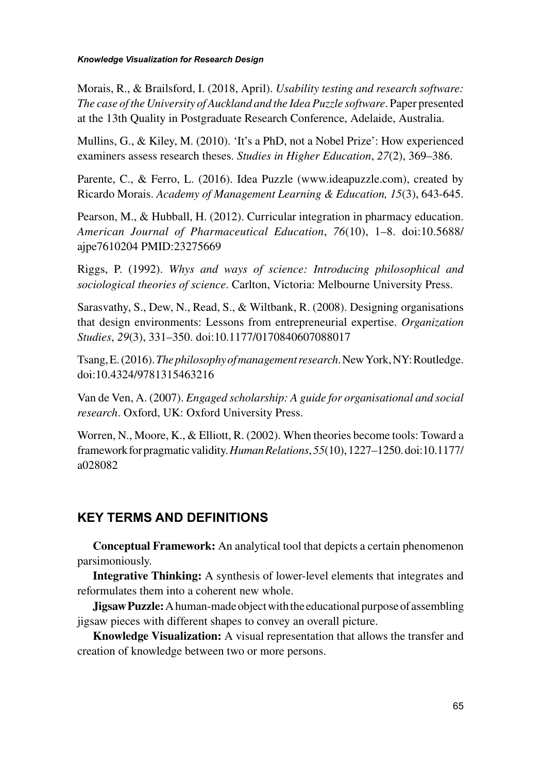#### *Knowledge Visualization for Research Design*

Morais, R., & Brailsford, I. (2018, April). *Usability testing and research software: The case of the University of Auckland and the Idea Puzzle software*. Paper presented at the 13th Quality in Postgraduate Research Conference, Adelaide, Australia.

Mullins, G., & Kiley, M. (2010). 'It's a PhD, not a Nobel Prize': How experienced examiners assess research theses. *Studies in Higher Education*, *27*(2), 369–386.

Parente, C., & Ferro, L. (2016). Idea Puzzle (www.ideapuzzle.com), created by Ricardo Morais. *Academy of Management Learning & Education, 15*(3), 643-645.

Pearson, M., & Hubball, H. (2012). Curricular integration in pharmacy education. *American Journal of Pharmaceutical Education*, *76*(10), 1–8. doi:10.5688/ ajpe7610204 PMID:23275669

Riggs, P. (1992). *Whys and ways of science: Introducing philosophical and sociological theories of science*. Carlton, Victoria: Melbourne University Press.

Sarasvathy, S., Dew, N., Read, S., & Wiltbank, R. (2008). Designing organisations that design environments: Lessons from entrepreneurial expertise. *Organization Studies*, *29*(3), 331–350. doi:10.1177/0170840607088017

Tsang, E. (2016). *The philosophy of management research*. New York, NY: Routledge. doi:10.4324/9781315463216

Van de Ven, A. (2007). *Engaged scholarship: A guide for organisational and social research*. Oxford, UK: Oxford University Press.

Worren, N., Moore, K., & Elliott, R. (2002). When theories become tools: Toward a framework for pragmatic validity. *Human Relations*, *55*(10), 1227–1250. doi:10.1177/ a028082

# **KEY TERMS AND DEFINITIONS**

**Conceptual Framework:** An analytical tool that depicts a certain phenomenon parsimoniously.

**Integrative Thinking:** A synthesis of lower-level elements that integrates and reformulates them into a coherent new whole.

**Jigsaw Puzzle:** A human-made object with the educational purpose of assembling jigsaw pieces with different shapes to convey an overall picture.

**Knowledge Visualization:** A visual representation that allows the transfer and creation of knowledge between two or more persons.